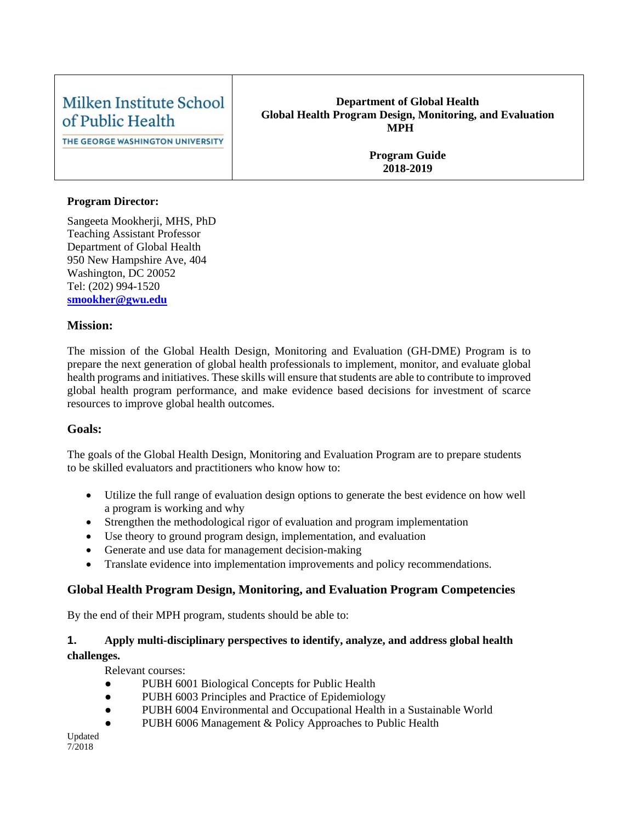# Milken Institute School of Public Health

THE GEORGE WASHINGTON UNIVERSITY

#### **Department of Global Health Global Health Program Design, Monitoring, and Evaluation MPH**

**Program Guide 2018-2019**

#### **Program Director:**

Sangeeta Mookherji, MHS, PhD Teaching Assistant Professor Department of Global Health 950 New Hampshire Ave, 404 Washington, DC 20052 Tel: (202) 994-1520 **[smookher@gwu.edu](mailto:smookher@gwu.edu)**

#### **Mission:**

The mission of the Global Health Design, Monitoring and Evaluation (GH-DME) Program is to prepare the next generation of global health professionals to implement, monitor, and evaluate global health programs and initiatives. These skills will ensure that students are able to contribute to improved global health program performance, and make evidence based decisions for investment of scarce resources to improve global health outcomes.

#### **Goals:**

The goals of the Global Health Design, Monitoring and Evaluation Program are to prepare students to be skilled evaluators and practitioners who know how to:

- Utilize the full range of evaluation design options to generate the best evidence on how well a program is working and why
- Strengthen the methodological rigor of evaluation and program implementation
- Use theory to ground program design, implementation, and evaluation
- Generate and use data for management decision-making
- Translate evidence into implementation improvements and policy recommendations.

# **Global Health Program Design, Monitoring, and Evaluation Program Competencies**

By the end of their MPH program, students should be able to:

## **1. Apply multi-disciplinary perspectives to identify, analyze, and address global health challenges.**

Relevant courses:

- PUBH 6001 Biological Concepts for Public Health
- PUBH 6003 Principles and Practice of Epidemiology
- PUBH 6004 Environmental and Occupational Health in a Sustainable World
- PUBH 6006 Management & Policy Approaches to Public Health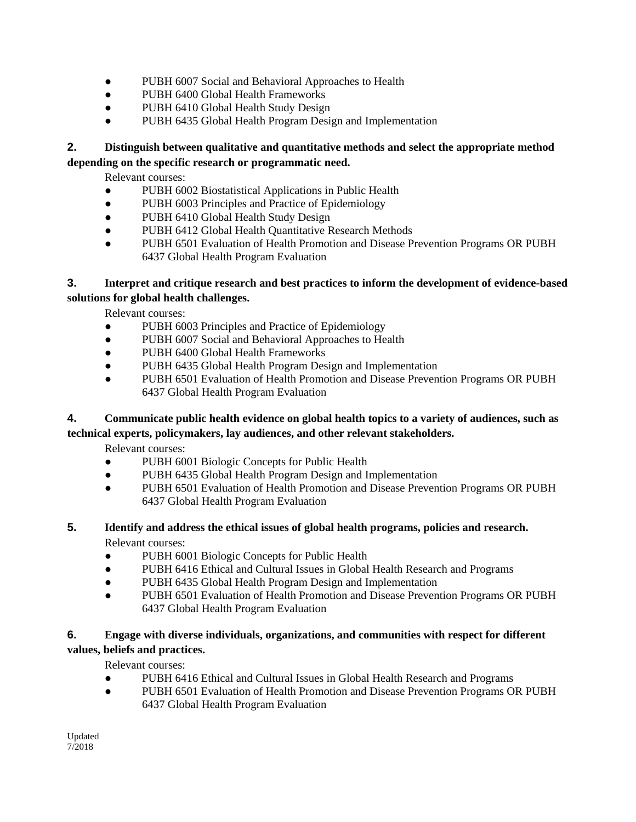- PUBH 6007 Social and Behavioral Approaches to Health
- PUBH 6400 Global Health Frameworks
- PUBH 6410 Global Health Study Design
- PUBH 6435 Global Health Program Design and Implementation

#### **2. Distinguish between qualitative and quantitative methods and select the appropriate method depending on the specific research or programmatic need.**

Relevant courses:

- PUBH 6002 Biostatistical Applications in Public Health
- PUBH 6003 Principles and Practice of Epidemiology
- PUBH 6410 Global Health Study Design
- PUBH 6412 Global Health Quantitative Research Methods
- PUBH 6501 Evaluation of Health Promotion and Disease Prevention Programs OR PUBH 6437 Global Health Program Evaluation

#### **3. Interpret and critique research and best practices to inform the development of evidence-based solutions for global health challenges.**

Relevant courses:

- PUBH 6003 Principles and Practice of Epidemiology
- PUBH 6007 Social and Behavioral Approaches to Health
- PUBH 6400 Global Health Frameworks
- PUBH 6435 Global Health Program Design and Implementation
- PUBH 6501 Evaluation of Health Promotion and Disease Prevention Programs OR PUBH 6437 Global Health Program Evaluation

# **4. Communicate public health evidence on global health topics to a variety of audiences, such as**

#### **technical experts, policymakers, lay audiences, and other relevant stakeholders.**

Relevant courses:

- PUBH 6001 Biologic Concepts for Public Health
- PUBH 6435 Global Health Program Design and Implementation
- PUBH 6501 Evaluation of Health Promotion and Disease Prevention Programs OR PUBH 6437 Global Health Program Evaluation

# **5. Identify and address the ethical issues of global health programs, policies and research.**

Relevant courses:

- PUBH 6001 Biologic Concepts for Public Health
- PUBH 6416 Ethical and Cultural Issues in Global Health Research and Programs
- PUBH 6435 Global Health Program Design and Implementation
- PUBH 6501 Evaluation of Health Promotion and Disease Prevention Programs OR PUBH 6437 Global Health Program Evaluation

## **6. Engage with diverse individuals, organizations, and communities with respect for different values, beliefs and practices.**

Relevant courses:

- PUBH 6416 Ethical and Cultural Issues in Global Health Research and Programs
- PUBH 6501 Evaluation of Health Promotion and Disease Prevention Programs OR PUBH 6437 Global Health Program Evaluation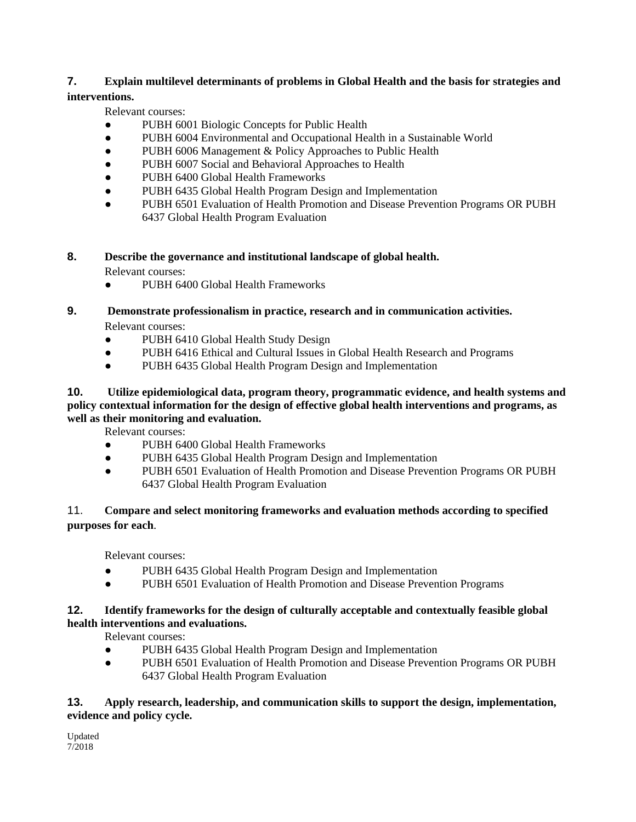#### **7. Explain multilevel determinants of problems in Global Health and the basis for strategies and interventions.**

Relevant courses:

- PUBH 6001 Biologic Concepts for Public Health
- PUBH 6004 Environmental and Occupational Health in a Sustainable World
- PUBH 6006 Management & Policy Approaches to Public Health
- PUBH 6007 Social and Behavioral Approaches to Health
- PUBH 6400 Global Health Frameworks
- PUBH 6435 Global Health Program Design and Implementation
- PUBH 6501 Evaluation of Health Promotion and Disease Prevention Programs OR PUBH 6437 Global Health Program Evaluation

# **8. Describe the governance and institutional landscape of global health.**

Relevant courses:

- PUBH 6400 Global Health Frameworks
- **9. Demonstrate professionalism in practice, research and in communication activities.**  Relevant courses:
	- PUBH 6410 Global Health Study Design
	- PUBH 6416 Ethical and Cultural Issues in Global Health Research and Programs
	- PUBH 6435 Global Health Program Design and Implementation

#### **10. Utilize epidemiological data, program theory, programmatic evidence, and health systems and policy contextual information for the design of effective global health interventions and programs, as well as their monitoring and evaluation.**

Relevant courses:

- PUBH 6400 Global Health Frameworks
- PUBH 6435 Global Health Program Design and Implementation
- PUBH 6501 Evaluation of Health Promotion and Disease Prevention Programs OR PUBH 6437 Global Health Program Evaluation

# 11. **Compare and select monitoring frameworks and evaluation methods according to specified purposes for each**.

Relevant courses:

- PUBH 6435 Global Health Program Design and Implementation
- PUBH 6501 Evaluation of Health Promotion and Disease Prevention Programs

#### **12. Identify frameworks for the design of culturally acceptable and contextually feasible global health interventions and evaluations.**

Relevant courses:

- PUBH 6435 Global Health Program Design and Implementation
- PUBH 6501 Evaluation of Health Promotion and Disease Prevention Programs OR PUBH 6437 Global Health Program Evaluation

#### **13. Apply research, leadership, and communication skills to support the design, implementation, evidence and policy cycle.**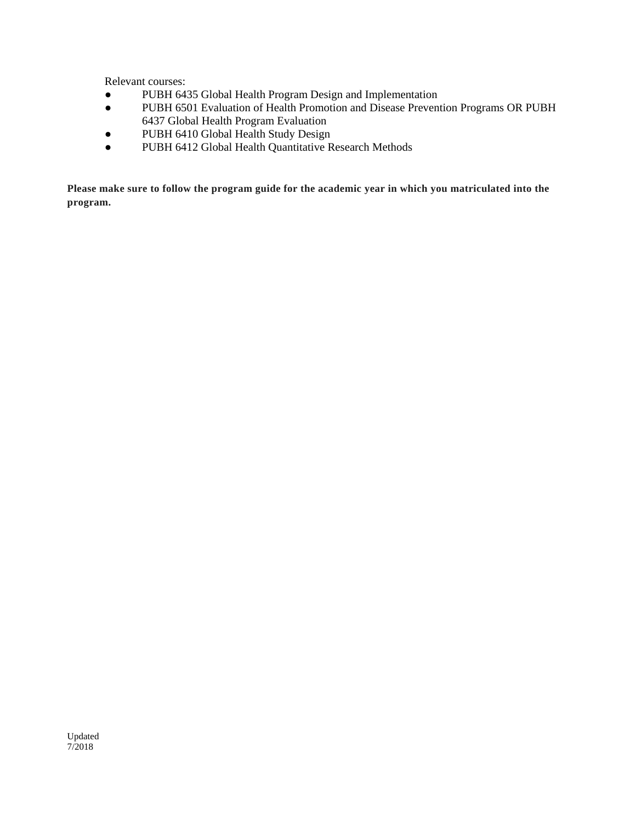Relevant courses:

- PUBH 6435 Global Health Program Design and Implementation
- PUBH 6501 Evaluation of Health Promotion and Disease Prevention Programs OR PUBH 6437 Global Health Program Evaluation
- PUBH 6410 Global Health Study Design
- PUBH 6412 Global Health Quantitative Research Methods

**Please make sure to follow the program guide for the academic year in which you matriculated into the program.**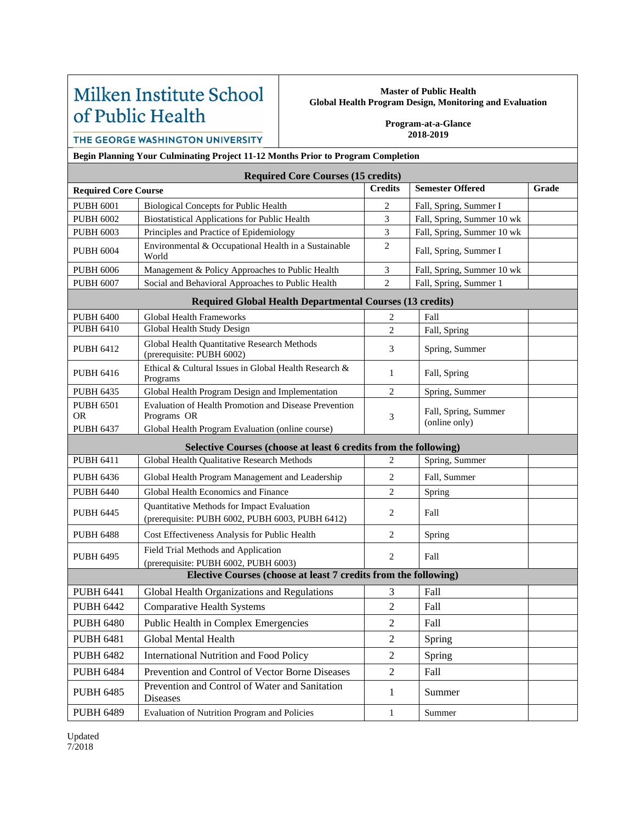# Milken Institute School of Public Health

#### **Master of Public Health Global Health Program Design, Monitoring and Evaluation**

**Program-at-a-Glance 2018-2019**

THE GEORGE WASHINGTON UNIVERSITY

**Begin Planning Your Culminating Project 11-12 Months Prior to Program Completion**

| <b>Required Core Courses (15 credits)</b>                                             |                                                                                                                          |                |                                       |       |  |  |  |  |
|---------------------------------------------------------------------------------------|--------------------------------------------------------------------------------------------------------------------------|----------------|---------------------------------------|-------|--|--|--|--|
| <b>Required Core Course</b>                                                           |                                                                                                                          | <b>Credits</b> | <b>Semester Offered</b>               | Grade |  |  |  |  |
| <b>PUBH 6001</b>                                                                      | <b>Biological Concepts for Public Health</b>                                                                             | 2              | Fall, Spring, Summer I                |       |  |  |  |  |
| <b>PUBH 6002</b>                                                                      | <b>Biostatistical Applications for Public Health</b>                                                                     | $\overline{3}$ | Fall, Spring, Summer 10 wk            |       |  |  |  |  |
| <b>PUBH 6003</b>                                                                      | Principles and Practice of Epidemiology                                                                                  | 3              | Fall, Spring, Summer 10 wk            |       |  |  |  |  |
| <b>PUBH 6004</b>                                                                      | Environmental & Occupational Health in a Sustainable<br>World                                                            | $\overline{2}$ | Fall, Spring, Summer I                |       |  |  |  |  |
| <b>PUBH 6006</b>                                                                      | Management & Policy Approaches to Public Health                                                                          | $\mathfrak{Z}$ | Fall, Spring, Summer 10 wk            |       |  |  |  |  |
| <b>PUBH 6007</b>                                                                      | Social and Behavioral Approaches to Public Health                                                                        | $\overline{2}$ | Fall, Spring, Summer 1                |       |  |  |  |  |
| <b>Required Global Health Departmental Courses (13 credits)</b>                       |                                                                                                                          |                |                                       |       |  |  |  |  |
| <b>PUBH 6400</b>                                                                      | <b>Global Health Frameworks</b>                                                                                          | $\overline{2}$ | Fall                                  |       |  |  |  |  |
| <b>PUBH 6410</b>                                                                      | Global Health Study Design                                                                                               | $\overline{2}$ | Fall, Spring                          |       |  |  |  |  |
| <b>PUBH 6412</b>                                                                      | Global Health Quantitative Research Methods<br>(prerequisite: PUBH 6002)                                                 | 3              | Spring, Summer                        |       |  |  |  |  |
| <b>PUBH 6416</b>                                                                      | Ethical & Cultural Issues in Global Health Research &<br>Programs                                                        | $\mathbf{1}$   |                                       |       |  |  |  |  |
| <b>PUBH 6435</b>                                                                      | Global Health Program Design and Implementation                                                                          | $\overline{c}$ | Spring, Summer                        |       |  |  |  |  |
| <b>PUBH 6501</b><br><b>OR</b><br><b>PUBH 6437</b>                                     | Evaluation of Health Promotion and Disease Prevention<br>Programs OR<br>Global Health Program Evaluation (online course) | 3              | Fall, Spring, Summer<br>(online only) |       |  |  |  |  |
| Selective Courses (choose at least 6 credits from the following)                      |                                                                                                                          |                |                                       |       |  |  |  |  |
| <b>PUBH 6411</b>                                                                      | Global Health Qualitative Research Methods                                                                               | $\mathfrak{D}$ | Spring, Summer                        |       |  |  |  |  |
| <b>PUBH 6436</b>                                                                      | Global Health Program Management and Leadership                                                                          | $\overline{2}$ | Fall, Summer                          |       |  |  |  |  |
| <b>PUBH 6440</b>                                                                      | Global Health Economics and Finance                                                                                      | $\overline{2}$ | Spring                                |       |  |  |  |  |
| <b>PUBH 6445</b>                                                                      | Quantitative Methods for Impact Evaluation<br>(prerequisite: PUBH 6002, PUBH 6003, PUBH 6412)                            | 2              | Fall                                  |       |  |  |  |  |
| <b>PUBH 6488</b>                                                                      | Cost Effectiveness Analysis for Public Health                                                                            | $\overline{2}$ | Spring                                |       |  |  |  |  |
| <b>PUBH 6495</b>                                                                      | Field Trial Methods and Application<br>(prerequisite: PUBH 6002, PUBH 6003)                                              | $\overline{2}$ | Fall                                  |       |  |  |  |  |
| Elective Courses (choose at least 7 credits from the following)                       |                                                                                                                          |                |                                       |       |  |  |  |  |
| <b>PUBH 6441</b>                                                                      | Global Health Organizations and Regulations                                                                              | 3              | Fall                                  |       |  |  |  |  |
| <b>PUBH 6442</b>                                                                      | <b>Comparative Health Systems</b>                                                                                        | $\overline{2}$ | Fall                                  |       |  |  |  |  |
| <b>PUBH 6480</b>                                                                      | Public Health in Complex Emergencies                                                                                     | $\overline{2}$ | Fall                                  |       |  |  |  |  |
| <b>PUBH 6481</b>                                                                      | Global Mental Health                                                                                                     | $\overline{2}$ | Spring                                |       |  |  |  |  |
| <b>PUBH 6482</b>                                                                      | International Nutrition and Food Policy                                                                                  | $\overline{2}$ | Spring                                |       |  |  |  |  |
| <b>PUBH 6484</b>                                                                      | Prevention and Control of Vector Borne Diseases                                                                          | $\overline{2}$ | Fall                                  |       |  |  |  |  |
| Prevention and Control of Water and Sanitation<br><b>PUBH 6485</b><br><b>Diseases</b> |                                                                                                                          | 1              | Summer                                |       |  |  |  |  |

PUBH 6489 Evaluation of Nutrition Program and Policies 1 Summer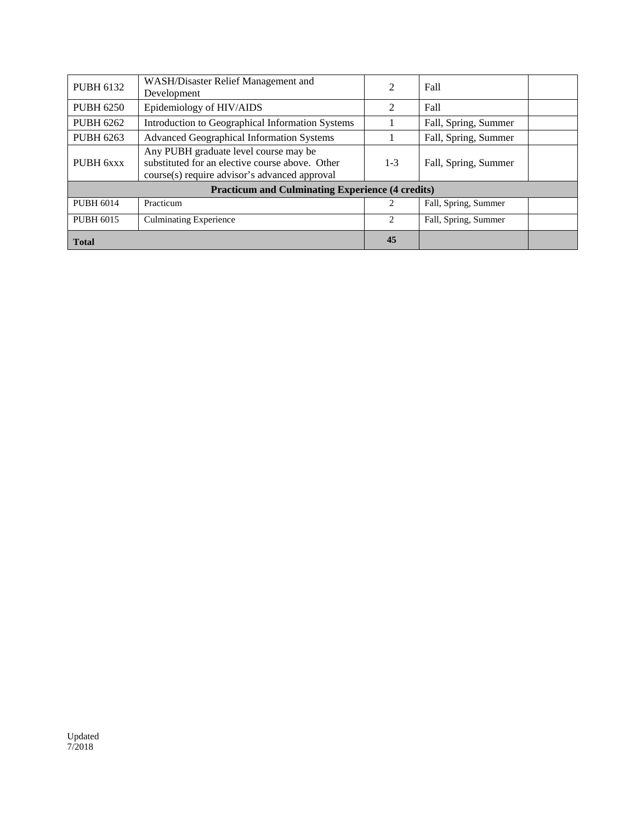| <b>PUBH 6132</b>                                        | WASH/Disaster Relief Management and<br>Development                                                                                        | 2              | Fall                 |  |  |  |  |
|---------------------------------------------------------|-------------------------------------------------------------------------------------------------------------------------------------------|----------------|----------------------|--|--|--|--|
| <b>PUBH 6250</b>                                        | Epidemiology of HIV/AIDS                                                                                                                  | 2              | Fall                 |  |  |  |  |
| <b>PUBH 6262</b>                                        | Introduction to Geographical Information Systems                                                                                          |                | Fall, Spring, Summer |  |  |  |  |
| <b>PUBH 6263</b>                                        | <b>Advanced Geographical Information Systems</b>                                                                                          |                | Fall, Spring, Summer |  |  |  |  |
| PUBH 6xxx                                               | Any PUBH graduate level course may be<br>substituted for an elective course above. Other<br>course(s) require advisor's advanced approval | $1 - 3$        | Fall, Spring, Summer |  |  |  |  |
| <b>Practicum and Culminating Experience (4 credits)</b> |                                                                                                                                           |                |                      |  |  |  |  |
| <b>PUBH 6014</b>                                        | Practicum                                                                                                                                 |                | Fall, Spring, Summer |  |  |  |  |
| <b>PUBH 6015</b>                                        | <b>Culminating Experience</b>                                                                                                             | $\mathfrak{D}$ | Fall, Spring, Summer |  |  |  |  |
| <b>Total</b>                                            |                                                                                                                                           | 45             |                      |  |  |  |  |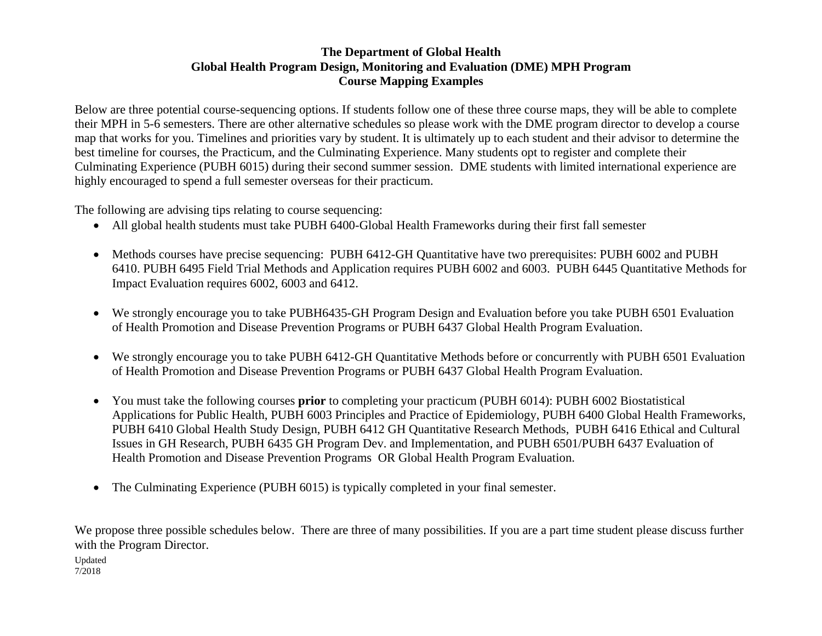# **The Department of Global Health Global Health Program Design, Monitoring and Evaluation (DME) MPH Program Course Mapping Examples**

Below are three potential course-sequencing options. If students follow one of these three course maps, they will be able to complete their MPH in 5-6 semesters. There are other alternative schedules so please work with the DME program director to develop a course map that works for you. Timelines and priorities vary by student. It is ultimately up to each student and their advisor to determine the best timeline for courses, the Practicum, and the Culminating Experience. Many students opt to register and complete their Culminating Experience (PUBH 6015) during their second summer session. DME students with limited international experience are highly encouraged to spend a full semester overseas for their practicum.

The following are advising tips relating to course sequencing:

- All global health students must take PUBH 6400-Global Health Frameworks during their first fall semester
- Methods courses have precise sequencing: PUBH 6412-GH Quantitative have two prerequisites: PUBH 6002 and PUBH 6410. PUBH 6495 Field Trial Methods and Application requires PUBH 6002 and 6003. PUBH 6445 Quantitative Methods for Impact Evaluation requires 6002, 6003 and 6412.
- We strongly encourage you to take PUBH6435-GH Program Design and Evaluation before you take PUBH 6501 Evaluation of Health Promotion and Disease Prevention Programs or PUBH 6437 Global Health Program Evaluation.
- We strongly encourage you to take PUBH 6412-GH Quantitative Methods before or concurrently with PUBH 6501 Evaluation of Health Promotion and Disease Prevention Programs or PUBH 6437 Global Health Program Evaluation.
- You must take the following courses **prior** to completing your practicum (PUBH 6014): PUBH 6002 Biostatistical Applications for Public Health, PUBH 6003 Principles and Practice of Epidemiology, PUBH 6400 Global Health Frameworks, PUBH 6410 Global Health Study Design, PUBH 6412 GH Quantitative Research Methods, PUBH 6416 Ethical and Cultural Issues in GH Research, PUBH 6435 GH Program Dev. and Implementation, and PUBH 6501/PUBH 6437 Evaluation of Health Promotion and Disease Prevention Programs OR Global Health Program Evaluation.
- The Culminating Experience (PUBH 6015) is typically completed in your final semester.

We propose three possible schedules below. There are three of many possibilities. If you are a part time student please discuss further with the Program Director.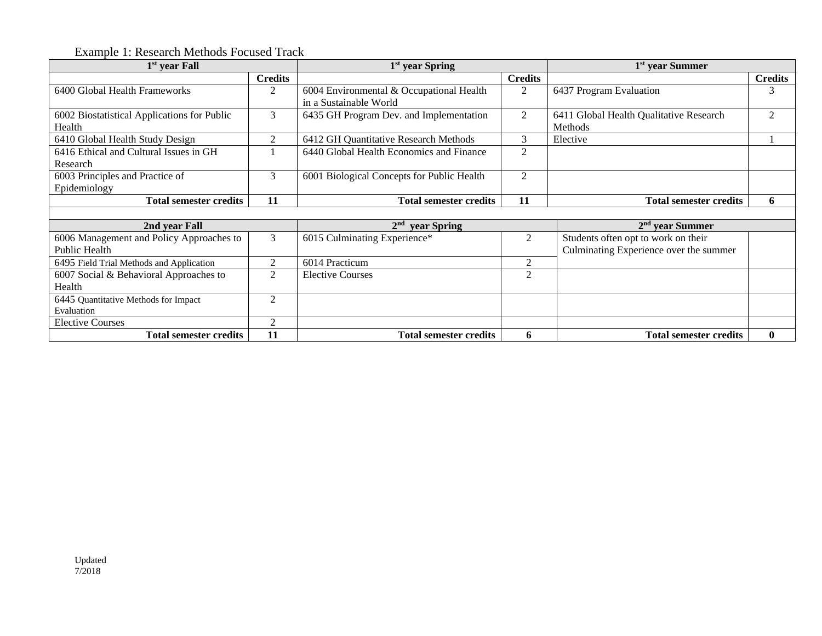# Example 1: Research Methods Focused Track

| 1 <sup>st</sup> year Fall                   |                | 1 <sup>st</sup> year Spring                |                | 1 <sup>st</sup> year Summer             |                |  |
|---------------------------------------------|----------------|--------------------------------------------|----------------|-----------------------------------------|----------------|--|
|                                             | <b>Credits</b> |                                            | <b>Credits</b> |                                         | <b>Credits</b> |  |
| 6400 Global Health Frameworks               | 2              | 6004 Environmental & Occupational Health   | 2              | 6437 Program Evaluation                 | 3              |  |
|                                             |                | in a Sustainable World                     |                |                                         |                |  |
| 6002 Biostatistical Applications for Public | 3              | 6435 GH Program Dev. and Implementation    | 2              | 6411 Global Health Qualitative Research | $\mathfrak{D}$ |  |
| Health                                      |                |                                            |                | <b>Methods</b>                          |                |  |
| 6410 Global Health Study Design             | $\overline{2}$ | 6412 GH Quantitative Research Methods      | 3              | Elective                                |                |  |
| 6416 Ethical and Cultural Issues in GH      |                | 6440 Global Health Economics and Finance   | 2              |                                         |                |  |
| Research                                    |                |                                            |                |                                         |                |  |
| 6003 Principles and Practice of             | 3              | 6001 Biological Concepts for Public Health | $\overline{2}$ |                                         |                |  |
| Epidemiology                                |                |                                            |                |                                         |                |  |
| <b>Total semester credits</b>               | 11             | <b>Total semester credits</b>              | 11             | <b>Total semester credits</b>           | 6              |  |
|                                             |                |                                            |                |                                         |                |  |
| 2nd year Fall                               |                | 2 <sup>nd</sup><br>year Spring             |                | $2nd$ year Summer                       |                |  |
| 6006 Management and Policy Approaches to    | 3              | 6015 Culminating Experience*               | $\overline{2}$ | Students often opt to work on their     |                |  |
| <b>Public Health</b>                        |                |                                            |                | Culminating Experience over the summer  |                |  |
| 6495 Field Trial Methods and Application    | $\overline{c}$ | 6014 Practicum                             | 2              |                                         |                |  |
| 6007 Social & Behavioral Approaches to      | 2              | <b>Elective Courses</b>                    | $\overline{2}$ |                                         |                |  |
| Health                                      |                |                                            |                |                                         |                |  |
| 6445 Quantitative Methods for Impact        | $\overline{c}$ |                                            |                |                                         |                |  |
| Evaluation                                  |                |                                            |                |                                         |                |  |
| <b>Elective Courses</b>                     | $\overline{2}$ |                                            |                |                                         |                |  |
| <b>Total semester credits</b>               | 11             | <b>Total semester credits</b>              | 6              | <b>Total semester credits</b>           | $\bf{0}$       |  |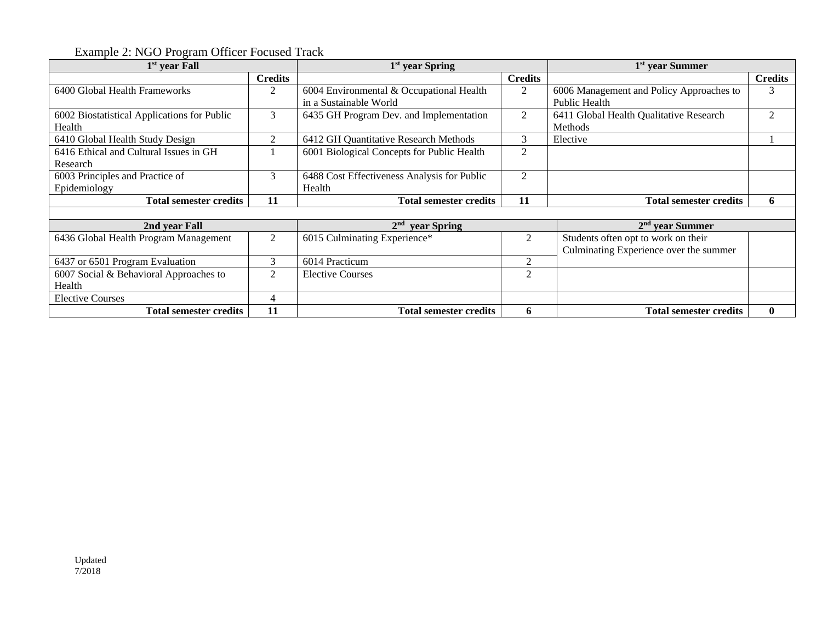Example 2: NGO Program Officer Focused Track

| 1 <sup>st</sup> year Fall                             |                | 1 <sup>st</sup> year Spring                                        |                | 1 <sup>st</sup> year Summer                                                   |                |
|-------------------------------------------------------|----------------|--------------------------------------------------------------------|----------------|-------------------------------------------------------------------------------|----------------|
|                                                       | <b>Credits</b> |                                                                    | <b>Credits</b> |                                                                               | <b>Credits</b> |
| 6400 Global Health Frameworks                         | 2              | 6004 Environmental & Occupational Health<br>in a Sustainable World | 2              | 6006 Management and Policy Approaches to<br><b>Public Health</b>              | 3              |
| 6002 Biostatistical Applications for Public<br>Health | 3              | 6435 GH Program Dev. and Implementation                            | 2              | 6411 Global Health Qualitative Research<br>Methods                            | $\overline{2}$ |
| 6410 Global Health Study Design                       | $\mathfrak{D}$ | 6412 GH Quantitative Research Methods                              | 3              | Elective                                                                      |                |
| 6416 Ethical and Cultural Issues in GH<br>Research    |                | 6001 Biological Concepts for Public Health                         | $\overline{2}$ |                                                                               |                |
| 6003 Principles and Practice of<br>Epidemiology       | 3              | 6488 Cost Effectiveness Analysis for Public<br>Health              | $\overline{2}$ |                                                                               |                |
| <b>Total semester credits</b>                         | 11             | <b>Total semester credits</b>                                      | 11             | <b>Total semester credits</b>                                                 | 6              |
|                                                       |                |                                                                    |                |                                                                               |                |
| 2nd year Fall                                         |                | 2 <sup>nd</sup><br>year Spring                                     |                | $2nd$ year Summer                                                             |                |
| 6436 Global Health Program Management                 | 2              | 6015 Culminating Experience*                                       | 2              | Students often opt to work on their<br>Culminating Experience over the summer |                |
| 6437 or 6501 Program Evaluation                       | 3              | 6014 Practicum                                                     | 2              |                                                                               |                |
| 6007 Social & Behavioral Approaches to                | $\overline{2}$ | <b>Elective Courses</b>                                            | $\overline{2}$ |                                                                               |                |
| Health                                                |                |                                                                    |                |                                                                               |                |
| <b>Elective Courses</b>                               | 4              |                                                                    |                |                                                                               |                |
| <b>Total semester credits</b>                         | 11             | <b>Total semester credits</b>                                      | 6              | <b>Total semester credits</b>                                                 | $\mathbf{0}$   |